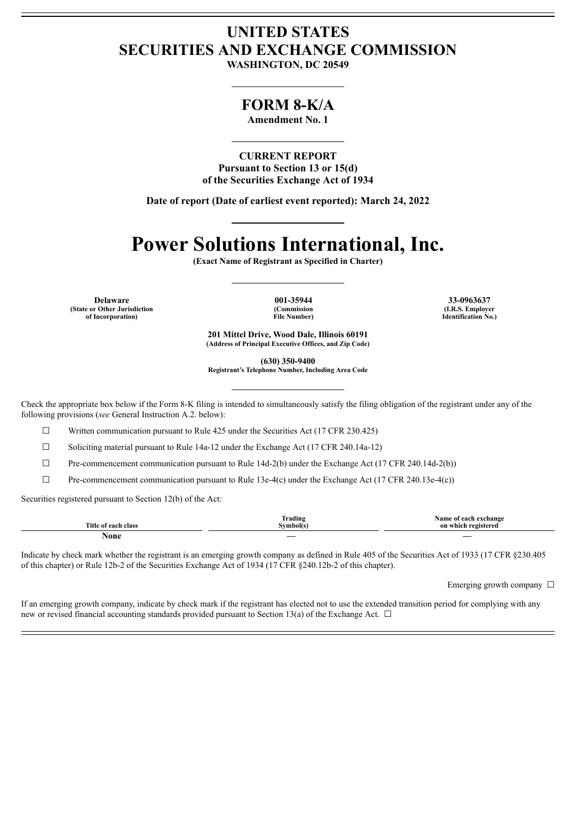## **UNITED STATES SECURITIES AND EXCHANGE COMMISSION**

**WASHINGTON, DC 20549**

### **FORM 8-K/A**

**Amendment No. 1**

**CURRENT REPORT Pursuant to Section 13 or 15(d) of the Securities Exchange Act of 1934**

**Date of report (Date of earliest event reported): March 24, 2022**

# **Power Solutions International, Inc.**

**(Exact Name of Registrant as Specified in Charter)**

**Delaware 001-35944 33-0963637 (State or Other Jurisdiction of Incorporation)**

**(Commission File Number)**

**(I.R.S. Employer Identification No.)**

**201 Mittel Drive, Wood Dale, Illinois 60191 (Address of Principal Executive Offices, and Zip Code)**

**(630) 350-9400**

**Registrant's Telephone Number, Including Area Code**

Check the appropriate box below if the Form 8-K filing is intended to simultaneously satisfy the filing obligation of the registrant under any of the following provisions (*see* General Instruction A.2. below):

 $\Box$  Written communication pursuant to Rule 425 under the Securities Act (17 CFR 230.425)

☐ Soliciting material pursuant to Rule 14a-12 under the Exchange Act (17 CFR 240.14a-12)

 $\Box$  Pre-commencement communication pursuant to Rule 14d-2(b) under the Exchange Act (17 CFR 240.14d-2(b))

 $\Box$  Pre-commencement communication pursuant to Rule 13e-4(c) under the Exchange Act (17 CFR 240.13e-4(c))

Securities registered pursuant to Section 12(b) of the Act:

|                                    | $\sim$<br>Trading        | . o ma<br>:change        |
|------------------------------------|--------------------------|--------------------------|
| l itle<br>each class               | ∛vmbol(s.                | <b>MORISTOMOS</b><br>nn  |
| $\sim$ $\blacksquare$<br>AUL.<br>. | $\overline{\phantom{a}}$ | $\overline{\phantom{a}}$ |

Indicate by check mark whether the registrant is an emerging growth company as defined in Rule 405 of the Securities Act of 1933 (17 CFR §230.405 of this chapter) or Rule 12b-2 of the Securities Exchange Act of 1934 (17 CFR §240.12b-2 of this chapter).

Emerging growth company  $\Box$ 

If an emerging growth company, indicate by check mark if the registrant has elected not to use the extended transition period for complying with any new or revised financial accounting standards provided pursuant to Section 13(a) of the Exchange Act.  $\Box$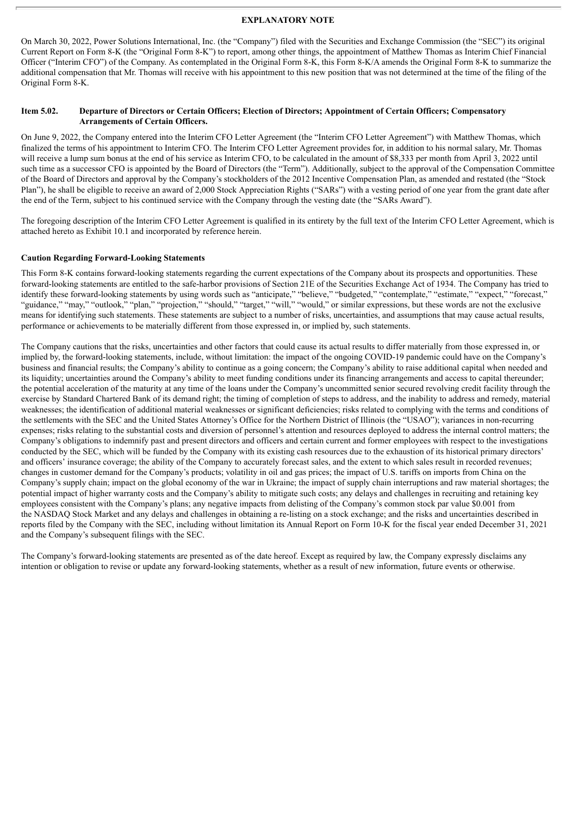#### **EXPLANATORY NOTE**

On March 30, 2022, Power Solutions International, Inc. (the "Company") filed with the Securities and Exchange Commission (the "SEC") its original Current Report on Form 8-K (the "Original Form 8-K") to report, among other things, the appointment of Matthew Thomas as Interim Chief Financial Officer ("Interim CFO") of the Company. As contemplated in the Original Form 8-K, this Form 8-K/A amends the Original Form 8-K to summarize the additional compensation that Mr. Thomas will receive with his appointment to this new position that was not determined at the time of the filing of the Original Form 8-K.

#### Item 5.02. Departure of Directors or Certain Officers; Election of Directors; Appointment of Certain Officers; Compensatory **Arrangements of Certain Officers.**

On June 9, 2022, the Company entered into the Interim CFO Letter Agreement (the "Interim CFO Letter Agreement") with Matthew Thomas, which finalized the terms of his appointment to Interim CFO. The Interim CFO Letter Agreement provides for, in addition to his normal salary, Mr. Thomas will receive a lump sum bonus at the end of his service as Interim CFO, to be calculated in the amount of \$8,333 per month from April 3, 2022 until such time as a successor CFO is appointed by the Board of Directors (the "Term"). Additionally, subject to the approval of the Compensation Committee of the Board of Directors and approval by the Company's stockholders of the 2012 Incentive Compensation Plan, as amended and restated (the "Stock Plan"), he shall be eligible to receive an award of 2,000 Stock Appreciation Rights ("SARs") with a vesting period of one year from the grant date after the end of the Term, subject to his continued service with the Company through the vesting date (the "SARs Award").

The foregoing description of the Interim CFO Letter Agreement is qualified in its entirety by the full text of the Interim CFO Letter Agreement, which is attached hereto as Exhibit 10.1 and incorporated by reference herein.

#### **Caution Regarding Forward-Looking Statements**

This Form 8-K contains forward-looking statements regarding the current expectations of the Company about its prospects and opportunities. These forward-looking statements are entitled to the safe-harbor provisions of Section 21E of the Securities Exchange Act of 1934. The Company has tried to identify these forward-looking statements by using words such as "anticipate," "believe," "budgeted," "contemplate," "estimate," "expect," "forecast," "guidance," "may," "outlook," "plan," "projection," "should," "target," "will," "would," or similar expressions, but these words are not the exclusive means for identifying such statements. These statements are subject to a number of risks, uncertainties, and assumptions that may cause actual results, performance or achievements to be materially different from those expressed in, or implied by, such statements.

The Company cautions that the risks, uncertainties and other factors that could cause its actual results to differ materially from those expressed in, or implied by, the forward-looking statements, include, without limitation: the impact of the ongoing COVID-19 pandemic could have on the Company's business and financial results; the Company's ability to continue as a going concern; the Company's ability to raise additional capital when needed and its liquidity; uncertainties around the Company's ability to meet funding conditions under its financing arrangements and access to capital thereunder; the potential acceleration of the maturity at any time of the loans under the Company's uncommitted senior secured revolving credit facility through the exercise by Standard Chartered Bank of its demand right; the timing of completion of steps to address, and the inability to address and remedy, material weaknesses; the identification of additional material weaknesses or significant deficiencies; risks related to complying with the terms and conditions of the settlements with the SEC and the United States Attorney's Office for the Northern District of Illinois (the "USAO"); variances in non-recurring expenses; risks relating to the substantial costs and diversion of personnel's attention and resources deployed to address the internal control matters; the Company's obligations to indemnify past and present directors and officers and certain current and former employees with respect to the investigations conducted by the SEC, which will be funded by the Company with its existing cash resources due to the exhaustion of its historical primary directors' and officers' insurance coverage; the ability of the Company to accurately forecast sales, and the extent to which sales result in recorded revenues; changes in customer demand for the Company's products; volatility in oil and gas prices; the impact of U.S. tariffs on imports from China on the Company's supply chain; impact on the global economy of the war in Ukraine; the impact of supply chain interruptions and raw material shortages; the potential impact of higher warranty costs and the Company's ability to mitigate such costs; any delays and challenges in recruiting and retaining key employees consistent with the Company's plans; any negative impacts from delisting of the Company's common stock par value \$0.001 from the NASDAQ Stock Market and any delays and challenges in obtaining a re-listing on a stock exchange; and the risks and uncertainties described in reports filed by the Company with the SEC, including without limitation its Annual Report on Form 10-K for the fiscal year ended December 31, 2021 and the Company's subsequent filings with the SEC.

The Company's forward-looking statements are presented as of the date hereof. Except as required by law, the Company expressly disclaims any intention or obligation to revise or update any forward-looking statements, whether as a result of new information, future events or otherwise.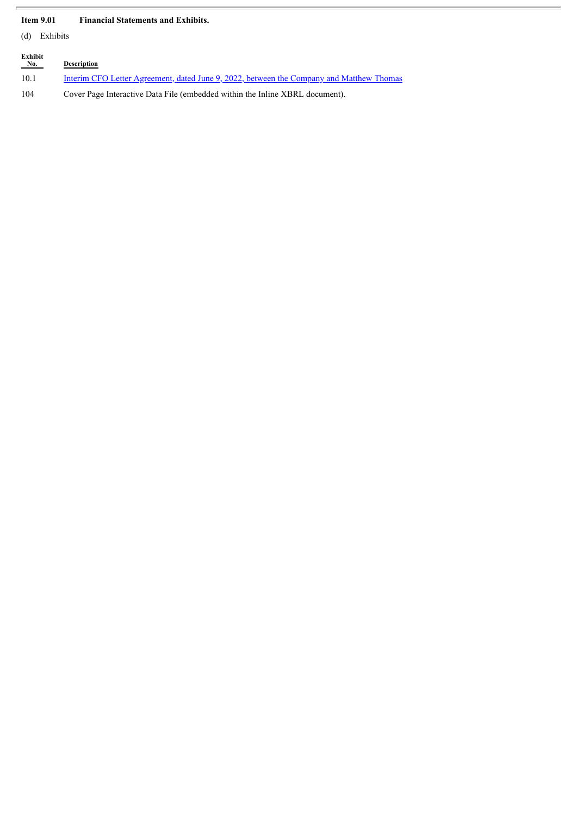#### **Item 9.01 Financial Statements and Exhibits.**

(d) Exhibits

| Exhibit<br>No. | <b>Description</b>                                                                       |
|----------------|------------------------------------------------------------------------------------------|
| 10.1           | Interim CFO Letter Agreement, dated June 9, 2022, between the Company and Matthew Thomas |
| 104            | Cover Page Interactive Data File (embedded within the Inline XBRL document).             |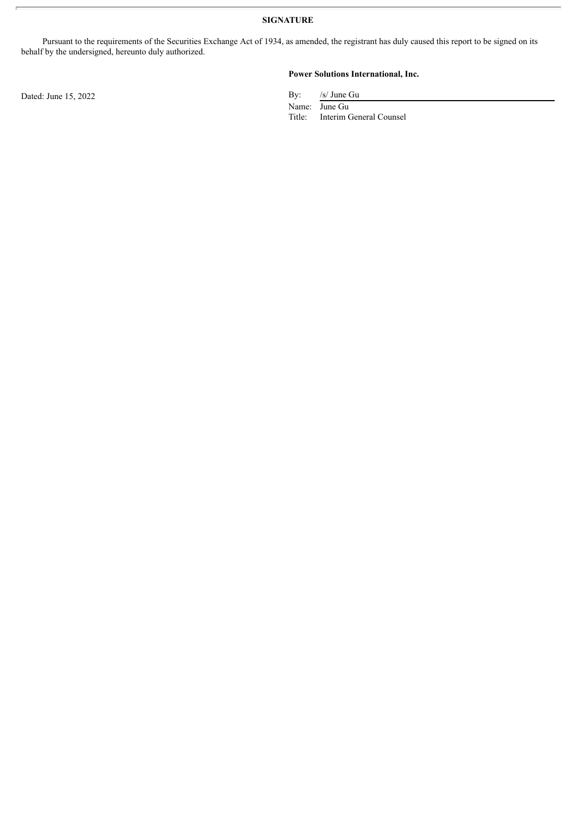**SIGNATURE**

Pursuant to the requirements of the Securities Exchange Act of 1934, as amended, the registrant has duly caused this report to be signed on its behalf by the undersigned, hereunto duly authorized.

#### **Power Solutions International, Inc.**

Name: June Gu<br>Title: Interim ( Interim General Counsel

Dated: June 15, 2022 By: /s/ June Gu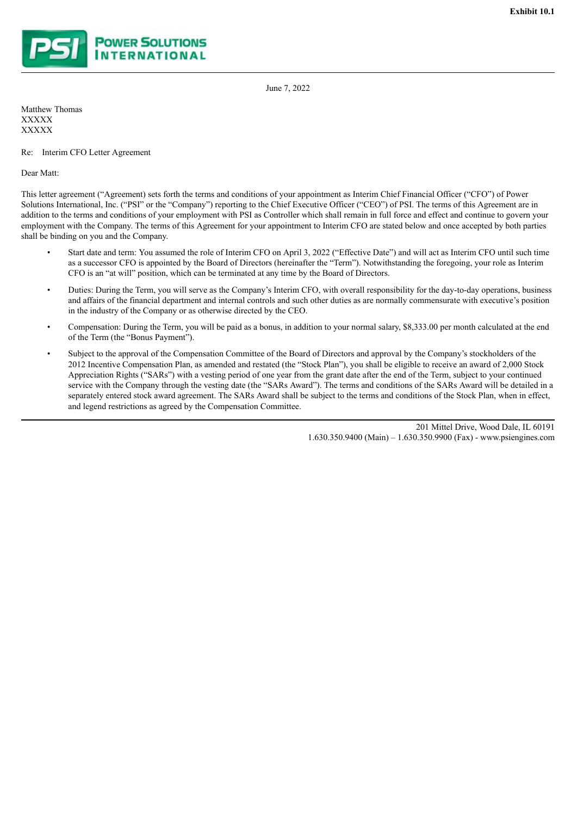<span id="page-4-0"></span>

June 7, 2022

Matthew Thomas XXXXX XXXXX

#### Re: Interim CFO Letter Agreement

Dear Matt:

This letter agreement ("Agreement) sets forth the terms and conditions of your appointment as Interim Chief Financial Officer ("CFO") of Power Solutions International, Inc. ("PSI" or the "Company") reporting to the Chief Executive Officer ("CEO") of PSI. The terms of this Agreement are in addition to the terms and conditions of your employment with PSI as Controller which shall remain in full force and effect and continue to govern your employment with the Company. The terms of this Agreement for your appointment to Interim CFO are stated below and once accepted by both parties shall be binding on you and the Company.

- Start date and term: You assumed the role of Interim CFO on April 3, 2022 ("Effective Date") and will act as Interim CFO until such time as a successor CFO is appointed by the Board of Directors (hereinafter the "Term"). Notwithstanding the foregoing, your role as Interim CFO is an "at will" position, which can be terminated at any time by the Board of Directors.
- Duties: During the Term, you will serve as the Company's Interim CFO, with overall responsibility for the day-to-day operations, business and affairs of the financial department and internal controls and such other duties as are normally commensurate with executive's position in the industry of the Company or as otherwise directed by the CEO.
- Compensation: During the Term, you will be paid as a bonus, in addition to your normal salary, \$8,333.00 per month calculated at the end of the Term (the "Bonus Payment").
- Subject to the approval of the Compensation Committee of the Board of Directors and approval by the Company's stockholders of the 2012 Incentive Compensation Plan, as amended and restated (the "Stock Plan"), you shall be eligible to receive an award of 2,000 Stock Appreciation Rights ("SARs") with a vesting period of one year from the grant date after the end of the Term, subject to your continued service with the Company through the vesting date (the "SARs Award"). The terms and conditions of the SARs Award will be detailed in a separately entered stock award agreement. The SARs Award shall be subject to the terms and conditions of the Stock Plan, when in effect, and legend restrictions as agreed by the Compensation Committee.

201 Mittel Drive, Wood Dale, IL 60191 1.630.350.9400 (Main) – 1.630.350.9900 (Fax) - www.psiengines.com